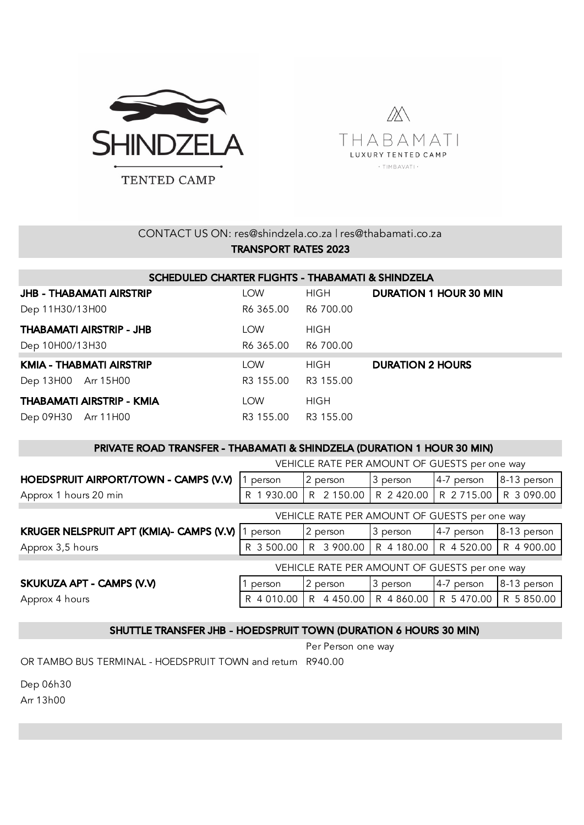



## CONTACT US ON: res@shindzela.co.za | res@thabamati.co.za TRANSPORT RATES 2023

| SCHEDULED CHARTER FLIGHTS - THABAMATI & SHINDZELA |                     |             |                               |  |  |  |  |  |
|---------------------------------------------------|---------------------|-------------|-------------------------------|--|--|--|--|--|
| <b>JHB - THABAMATI AIRSTRIP</b>                   | <b>LOW</b>          | HIGH        | <b>DURATION 1 HOUR 30 MIN</b> |  |  |  |  |  |
| Dep 11H30/13H00                                   | R6 365.00 R6 700.00 |             |                               |  |  |  |  |  |
| <b>THABAMATI AIRSTRIP - JHB</b>                   | <b>LOW</b>          | HIGH        |                               |  |  |  |  |  |
| Dep 10H00/13H30                                   | R6 365.00           | R6 700.00   |                               |  |  |  |  |  |
| KMIA - THABMATI AIRSTRIP                          | <b>LOW</b>          | <b>HIGH</b> | <b>DURATION 2 HOURS</b>       |  |  |  |  |  |
| Dep 13H00 Arr 15H00                               | R3 155.00 R3 155.00 |             |                               |  |  |  |  |  |
| THABAMATI AIRSTRIP - KMIA                         | <b>LOW</b>          | HIGH        |                               |  |  |  |  |  |
| Dep 09H30 Arr 11H00                               | R3 155.00 R3 155.00 |             |                               |  |  |  |  |  |

#### PRIVATE ROAD TRANSFER - THABAMATI & SHINDZELA (DURATION 1 HOUR 30 MIN)

|                                               | VEHICLE RATE PER AMOUNT OF GUESTS per one way |            |                         |                         |             |  |  |  |
|-----------------------------------------------|-----------------------------------------------|------------|-------------------------|-------------------------|-------------|--|--|--|
| HOEDSPRUIT AIRPORT/TOWN - CAMPS (V.V)         | person                                        | 2 person   | 3 person                | 4-7 person              | 8-13 person |  |  |  |
| Approx 1 hours 20 min                         | 1 930.00                                      | R 2 150.00 | R 2 420.00   R 2 715.00 |                         | R 3 090.00  |  |  |  |
|                                               | VEHICLE RATE PER AMOUNT OF GUESTS per one way |            |                         |                         |             |  |  |  |
| KRUGER NELSPRUIT APT (KMIA)- CAMPS (V.V) 1    | person                                        | 2 person   | 3 person                | 4-7 person              | 8-13 person |  |  |  |
| Approx 3,5 hours                              | R 3 500.00                                    | R 3 900.00 | R 4 180.00              | R 4 520.00              | R 4 900.00  |  |  |  |
| VEHICLE RATE PER AMOUNT OF GUESTS per one way |                                               |            |                         |                         |             |  |  |  |
| SKUKUZA APT - CAMPS (V.V)                     | person                                        | 2 person   | 3 person                | 4-7 person              | 8-13 person |  |  |  |
| Approx 4 hours                                | R 4 010.00                                    | R 4450.00  |                         | R 4 860.00   R 5 470.00 | R 5 850.00  |  |  |  |

### SHUTTLE TRANSFER JHB - HOEDSPRUIT TOWN (DURATION 6 HOURS 30 MIN)

Per Person one way

OR TAMBO BUS TERMINAL - HOEDSPRUIT TOWN and return R940.00

Dep 06h30

Arr 13h00